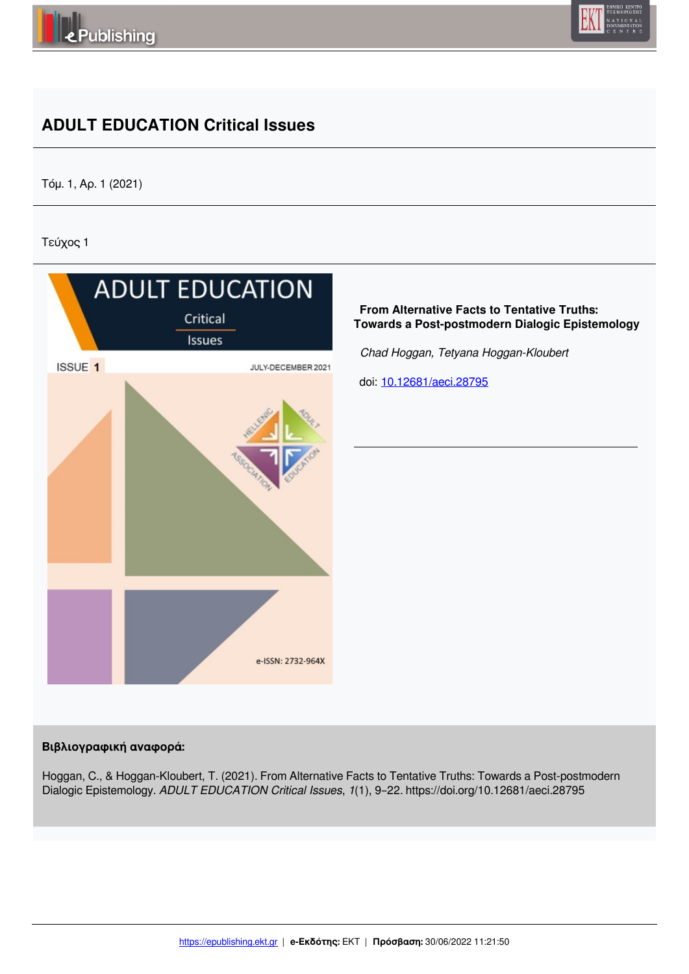



# **ADULT EDUCATION Critical Issues**

Τόμ. 1, Αρ. 1 (2021)

Τεύχος 1



## **Βιβλιογραφική αναφορά:**

Hoggan, C., & Hoggan-Kloubert, T. (2021). From Alternative Facts to Tentative Truths: Towards a Post-postmodern Dialogic Epistemology. *ADULT EDUCATION Critical Issues*, *1*(1), 9–22. https://doi.org/10.12681/aeci.28795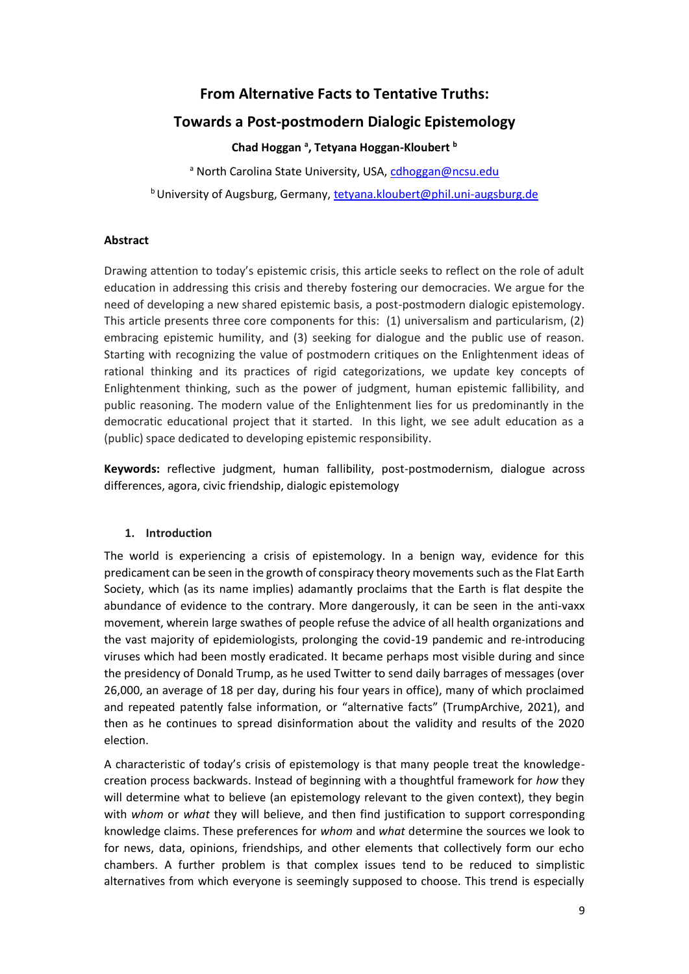## **From Alternative Facts to Tentative Truths:**

## **Towards a Post-postmodern Dialogic Epistemology**

**Chad Hoggan <sup>a</sup> , Tetyana Hoggan-Kloubert <sup>b</sup>**

a North Carolina State University, USA, cdhoggan@ncsu.edu <sup>b</sup>University of Augsburg, Germany, tetyana.kloubert@phil.uni-augsburg.de

## **Abstract**

Drawing attention to today's epistemic crisis, this article seeks to reflect on the role of adult education in addressing this crisis and thereby fostering our democracies. We argue for the need of developing a new shared epistemic basis, a post-postmodern dialogic epistemology. This article presents three core components for this: (1) universalism and particularism, (2) embracing epistemic humility, and (3) seeking for dialogue and the public use of reason. Starting with recognizing the value of postmodern critiques on the Enlightenment ideas of rational thinking and its practices of rigid categorizations, we update key concepts of Enlightenment thinking, such as the power of judgment, human epistemic fallibility, and public reasoning. The modern value of the Enlightenment lies for us predominantly in the democratic educational project that it started. In this light, we see adult education as a (public) space dedicated to developing epistemic responsibility.

**Keywords:** reflective judgment, human fallibility, post-postmodernism, dialogue across differences, agora, civic friendship, dialogic epistemology

## **1. Introduction**

The world is experiencing a crisis of epistemology. In a benign way, evidence for this predicament can be seen in the growth of conspiracy theory movements such as the Flat Earth Society, which (as its name implies) adamantly proclaims that the Earth is flat despite the abundance of evidence to the contrary. More dangerously, it can be seen in the anti-vaxx movement, wherein large swathes of people refuse the advice of all health organizations and the vast majority of epidemiologists, prolonging the covid-19 pandemic and re-introducing viruses which had been mostly eradicated. It became perhaps most visible during and since the presidency of Donald Trump, as he used Twitter to send daily barrages of messages (over 26,000, an average of 18 per day, during his four years in office), many of which proclaimed and repeated patently false information, or "alternative facts" (TrumpArchive, 2021), and then as he continues to spread disinformation about the validity and results of the 2020 election.

A characteristic of today's crisis of epistemology is that many people treat the knowledgecreation process backwards. Instead of beginning with a thoughtful framework for *how* they will determine what to believe (an epistemology relevant to the given context), they begin with *whom* or *what* they will believe, and then find justification to support corresponding knowledge claims. These preferences for *whom* and *what* determine the sources we look to for news, data, opinions, friendships, and other elements that collectively form our echo chambers. A further problem is that complex issues tend to be reduced to simplistic alternatives from which everyone is seemingly supposed to choose. This trend is especially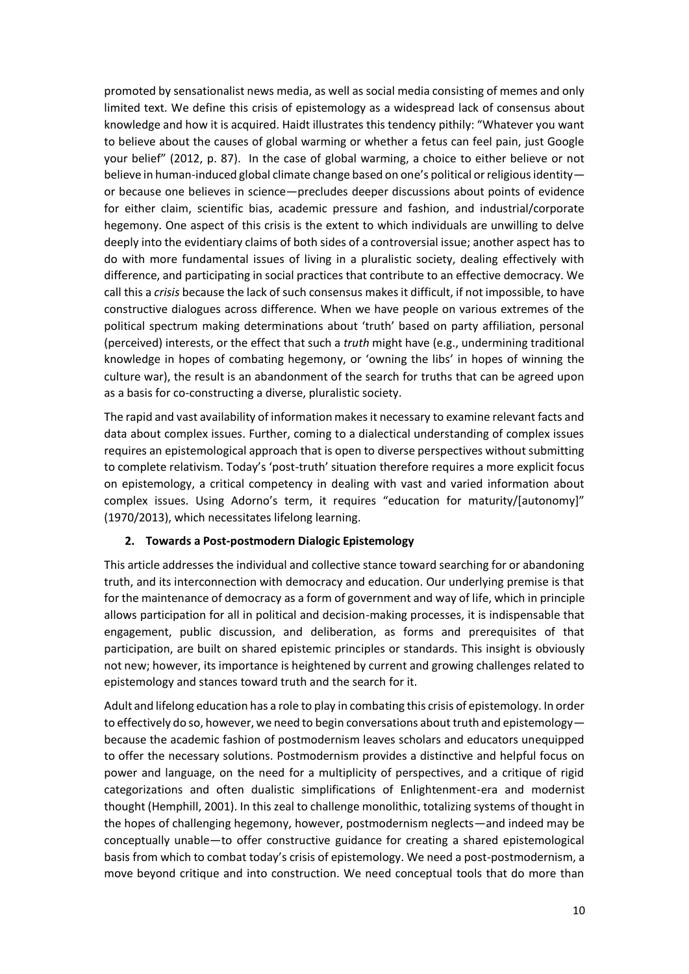promoted by sensationalist news media, as well as social media consisting of memes and only limited text. We define this crisis of epistemology as a widespread lack of consensus about knowledge and how it is acquired. Haidt illustrates this tendency pithily: "Whatever you want to believe about the causes of global warming or whether a fetus can feel pain, just Google your belief" (2012, p. 87). In the case of global warming, a choice to either believe or not believe in human-induced global climate change based on one's political or religious identity or because one believes in science—precludes deeper discussions about points of evidence for either claim, scientific bias, academic pressure and fashion, and industrial/corporate hegemony. One aspect of this crisis is the extent to which individuals are unwilling to delve deeply into the evidentiary claims of both sides of a controversial issue; another aspect has to do with more fundamental issues of living in a pluralistic society, dealing effectively with difference, and participating in social practices that contribute to an effective democracy. We call this a *crisis* because the lack of such consensus makes it difficult, if not impossible, to have constructive dialogues across difference. When we have people on various extremes of the political spectrum making determinations about 'truth' based on party affiliation, personal (perceived) interests, or the effect that such a *truth* might have (e.g., undermining traditional knowledge in hopes of combating hegemony, or 'owning the libs' in hopes of winning the culture war), the result is an abandonment of the search for truths that can be agreed upon as a basis for co-constructing a diverse, pluralistic society.

The rapid and vast availability of information makes it necessary to examine relevant facts and data about complex issues. Further, coming to a dialectical understanding of complex issues requires an epistemological approach that is open to diverse perspectives without submitting to complete relativism. Today's 'post-truth' situation therefore requires a more explicit focus on epistemology, a critical competency in dealing with vast and varied information about complex issues. Using Adorno's term, it requires "education for maturity/[autonomy]" (1970/2013), which necessitates lifelong learning.

## **2. Towards a Post-postmodern Dialogic Epistemology**

This article addresses the individual and collective stance toward searching for or abandoning truth, and its interconnection with democracy and education. Our underlying premise is that for the maintenance of democracy as a form of government and way of life, which in principle allows participation for all in political and decision-making processes, it is indispensable that engagement, public discussion, and deliberation, as forms and prerequisites of that participation, are built on shared epistemic principles or standards. This insight is obviously not new; however, its importance is heightened by current and growing challenges related to epistemology and stances toward truth and the search for it.

Adult and lifelong education has a role to play in combating this crisis of epistemology. In order to effectively do so, however, we need to begin conversations about truth and epistemology because the academic fashion of postmodernism leaves scholars and educators unequipped to offer the necessary solutions. Postmodernism provides a distinctive and helpful focus on power and language, on the need for a multiplicity of perspectives, and a critique of rigid categorizations and often dualistic simplifications of Enlightenment-era and modernist thought (Hemphill, 2001). In this zeal to challenge monolithic, totalizing systems of thought in the hopes of challenging hegemony, however, postmodernism neglects—and indeed may be conceptually unable—to offer constructive guidance for creating a shared epistemological basis from which to combat today's crisis of epistemology. We need a post-postmodernism, a move beyond critique and into construction. We need conceptual tools that do more than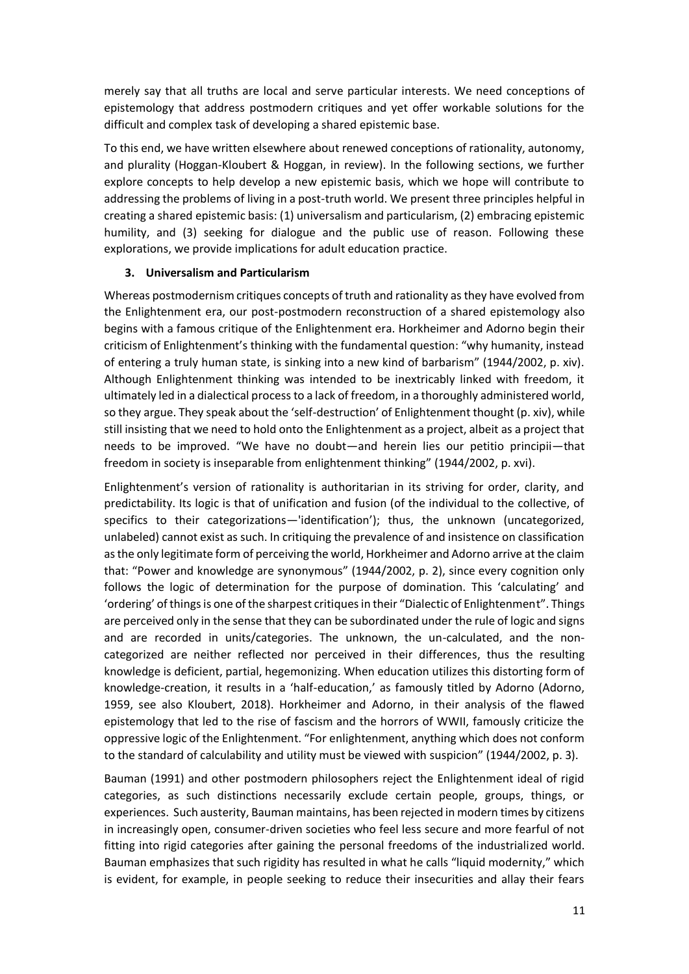merely say that all truths are local and serve particular interests. We need conceptions of epistemology that address postmodern critiques and yet offer workable solutions for the difficult and complex task of developing a shared epistemic base.

To this end, we have written elsewhere about renewed conceptions of rationality, autonomy, and plurality (Hoggan-Kloubert & Hoggan, in review). In the following sections, we further explore concepts to help develop a new epistemic basis, which we hope will contribute to addressing the problems of living in a post-truth world. We present three principles helpful in creating a shared epistemic basis: (1) universalism and particularism, (2) embracing epistemic humility, and (3) seeking for dialogue and the public use of reason. Following these explorations, we provide implications for adult education practice.

#### **3. Universalism and Particularism**

Whereas postmodernism critiques concepts of truth and rationality as they have evolved from the Enlightenment era, our post-postmodern reconstruction of a shared epistemology also begins with a famous critique of the Enlightenment era. Horkheimer and Adorno begin their criticism of Enlightenment's thinking with the fundamental question: "why humanity, instead of entering a truly human state, is sinking into a new kind of barbarism" (1944/2002, p. xiv). Although Enlightenment thinking was intended to be inextricably linked with freedom, it ultimately led in a dialectical process to a lack of freedom, in a thoroughly administered world, so they argue. They speak about the 'self-destruction' of Enlightenment thought (p. xiv), while still insisting that we need to hold onto the Enlightenment as a project, albeit as a project that needs to be improved. "We have no doubt—and herein lies our petitio principii—that freedom in society is inseparable from enlightenment thinking" (1944/2002, p. xvi).

Enlightenment's version of rationality is authoritarian in its striving for order, clarity, and predictability. Its logic is that of unification and fusion (of the individual to the collective, of specifics to their categorizations—'identification'); thus, the unknown (uncategorized, unlabeled) cannot exist as such. In critiquing the prevalence of and insistence on classification as the only legitimate form of perceiving the world, Horkheimer and Adorno arrive at the claim that: "Power and knowledge are synonymous" (1944/2002, p. 2), since every cognition only follows the logic of determination for the purpose of domination. This 'calculating' and 'ordering' of things is one of the sharpest critiques in their "Dialectic of Enlightenment". Things are perceived only in the sense that they can be subordinated under the rule of logic and signs and are recorded in units/categories. The unknown, the un-calculated, and the noncategorized are neither reflected nor perceived in their differences, thus the resulting knowledge is deficient, partial, hegemonizing. When education utilizes this distorting form of knowledge-creation, it results in a 'half-education,' as famously titled by Adorno (Adorno, 1959, see also Kloubert, 2018). Horkheimer and Adorno, in their analysis of the flawed epistemology that led to the rise of fascism and the horrors of WWII, famously criticize the oppressive logic of the Enlightenment. "For enlightenment, anything which does not conform to the standard of calculability and utility must be viewed with suspicion" (1944/2002, p. 3).

Bauman (1991) and other postmodern philosophers reject the Enlightenment ideal of rigid categories, as such distinctions necessarily exclude certain people, groups, things, or experiences. Such austerity, Bauman maintains, has been rejected in modern times by citizens in increasingly open, consumer-driven societies who feel less secure and more fearful of not fitting into rigid categories after gaining the personal freedoms of the industrialized world. Bauman emphasizes that such rigidity has resulted in what he calls "liquid modernity," which is evident, for example, in people seeking to reduce their insecurities and allay their fears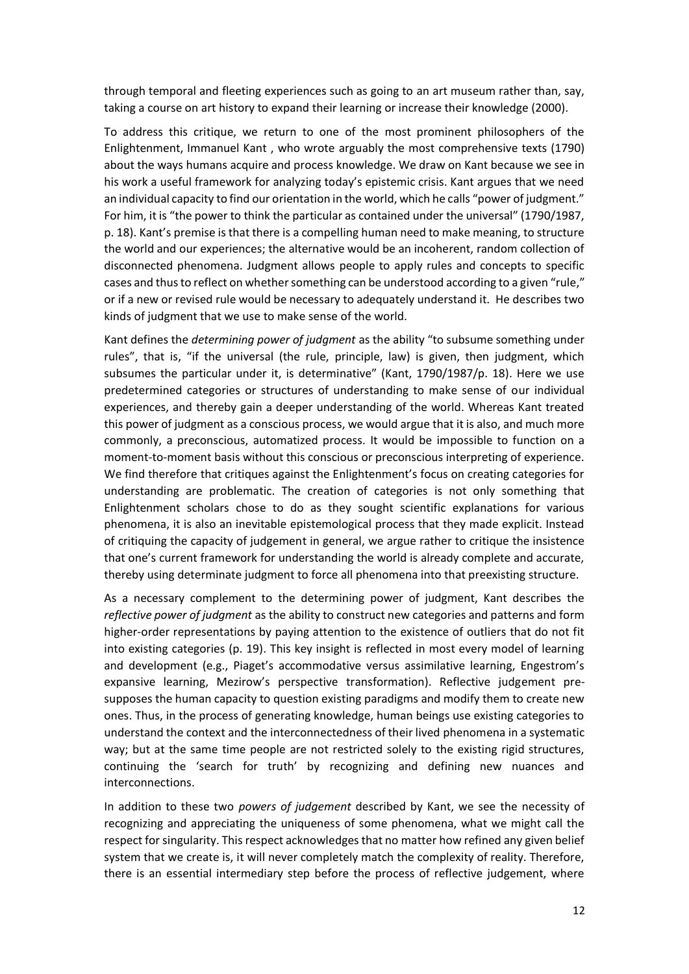through temporal and fleeting experiences such as going to an art museum rather than, say, taking a course on art history to expand their learning or increase their knowledge (2000).

To address this critique, we return to one of the most prominent philosophers of the Enlightenment, Immanuel Kant , who wrote arguably the most comprehensive texts (1790) about the ways humans acquire and process knowledge. We draw on Kant because we see in his work a useful framework for analyzing today's epistemic crisis. Kant argues that we need an individual capacity to find our orientation in the world, which he calls "power of judgment." For him, it is "the power to think the particular as contained under the universal" (1790/1987, p. 18). Kant's premise is that there is a compelling human need to make meaning, to structure the world and our experiences; the alternative would be an incoherent, random collection of disconnected phenomena. Judgment allows people to apply rules and concepts to specific cases and thus to reflect on whether something can be understood according to a given "rule," or if a new or revised rule would be necessary to adequately understand it. He describes two kinds of judgment that we use to make sense of the world.

Kant defines the *determining power of judgment* as the ability "to subsume something under rules", that is, "if the universal (the rule, principle, law) is given, then judgment, which subsumes the particular under it, is determinative" (Kant, 1790/1987/p. 18). Here we use predetermined categories or structures of understanding to make sense of our individual experiences, and thereby gain a deeper understanding of the world. Whereas Kant treated this power of judgment as a conscious process, we would argue that it is also, and much more commonly, a preconscious, automatized process. It would be impossible to function on a moment-to-moment basis without this conscious or preconscious interpreting of experience. We find therefore that critiques against the Enlightenment's focus on creating categories for understanding are problematic. The creation of categories is not only something that Enlightenment scholars chose to do as they sought scientific explanations for various phenomena, it is also an inevitable epistemological process that they made explicit. Instead of critiquing the capacity of judgement in general, we argue rather to critique the insistence that one's current framework for understanding the world is already complete and accurate, thereby using determinate judgment to force all phenomena into that preexisting structure.

As a necessary complement to the determining power of judgment, Kant describes the *reflective power of judgment* as the ability to construct new categories and patterns and form higher-order representations by paying attention to the existence of outliers that do not fit into existing categories (p. 19). This key insight is reflected in most every model of learning and development (e.g., Piaget's accommodative versus assimilative learning, Engestrom's expansive learning, Mezirow's perspective transformation). Reflective judgement presupposes the human capacity to question existing paradigms and modify them to create new ones. Thus, in the process of generating knowledge, human beings use existing categories to understand the context and the interconnectedness of their lived phenomena in a systematic way; but at the same time people are not restricted solely to the existing rigid structures, continuing the 'search for truth' by recognizing and defining new nuances and interconnections.

In addition to these two *powers of judgement* described by Kant, we see the necessity of recognizing and appreciating the uniqueness of some phenomena, what we might call the respect for singularity. This respect acknowledges that no matter how refined any given belief system that we create is, it will never completely match the complexity of reality. Therefore, there is an essential intermediary step before the process of reflective judgement, where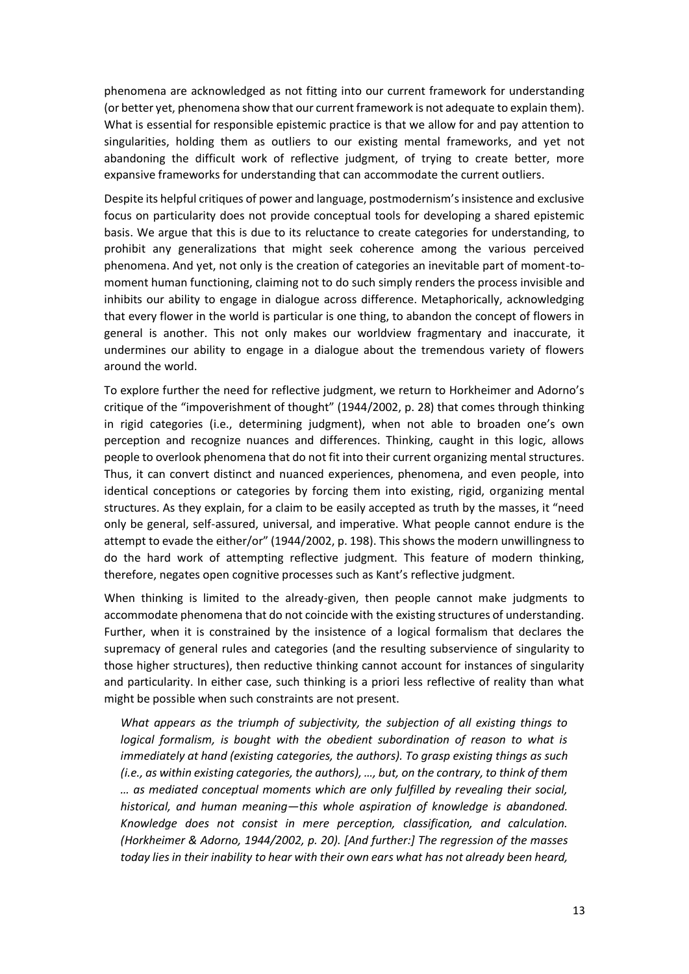phenomena are acknowledged as not fitting into our current framework for understanding (or better yet, phenomena show that our current framework is not adequate to explain them). What is essential for responsible epistemic practice is that we allow for and pay attention to singularities, holding them as outliers to our existing mental frameworks, and yet not abandoning the difficult work of reflective judgment, of trying to create better, more expansive frameworks for understanding that can accommodate the current outliers.

Despite its helpful critiques of power and language, postmodernism's insistence and exclusive focus on particularity does not provide conceptual tools for developing a shared epistemic basis. We argue that this is due to its reluctance to create categories for understanding, to prohibit any generalizations that might seek coherence among the various perceived phenomena. And yet, not only is the creation of categories an inevitable part of moment-tomoment human functioning, claiming not to do such simply renders the process invisible and inhibits our ability to engage in dialogue across difference. Metaphorically, acknowledging that every flower in the world is particular is one thing, to abandon the concept of flowers in general is another. This not only makes our worldview fragmentary and inaccurate, it undermines our ability to engage in a dialogue about the tremendous variety of flowers around the world.

To explore further the need for reflective judgment, we return to Horkheimer and Adorno's critique of the "impoverishment of thought" (1944/2002, p. 28) that comes through thinking in rigid categories (i.e., determining judgment), when not able to broaden one's own perception and recognize nuances and differences. Thinking, caught in this logic, allows people to overlook phenomena that do not fit into their current organizing mental structures. Thus, it can convert distinct and nuanced experiences, phenomena, and even people, into identical conceptions or categories by forcing them into existing, rigid, organizing mental structures. As they explain, for a claim to be easily accepted as truth by the masses, it "need only be general, self-assured, universal, and imperative. What people cannot endure is the attempt to evade the either/or" (1944/2002, p. 198). This shows the modern unwillingness to do the hard work of attempting reflective judgment. This feature of modern thinking, therefore, negates open cognitive processes such as Kant's reflective judgment.

When thinking is limited to the already-given, then people cannot make judgments to accommodate phenomena that do not coincide with the existing structures of understanding. Further, when it is constrained by the insistence of a logical formalism that declares the supremacy of general rules and categories (and the resulting subservience of singularity to those higher structures), then reductive thinking cannot account for instances of singularity and particularity. In either case, such thinking is a priori less reflective of reality than what might be possible when such constraints are not present.

*What appears as the triumph of subjectivity, the subjection of all existing things to logical formalism, is bought with the obedient subordination of reason to what is immediately at hand (existing categories, the authors). To grasp existing things as such (i.e., as within existing categories, the authors), …, but, on the contrary, to think of them … as mediated conceptual moments which are only fulfilled by revealing their social, historical, and human meaning—this whole aspiration of knowledge is abandoned. Knowledge does not consist in mere perception, classification, and calculation. (Horkheimer & Adorno, 1944/2002, p. 20). [And further:] The regression of the masses today lies in their inability to hear with their own ears what has not already been heard,*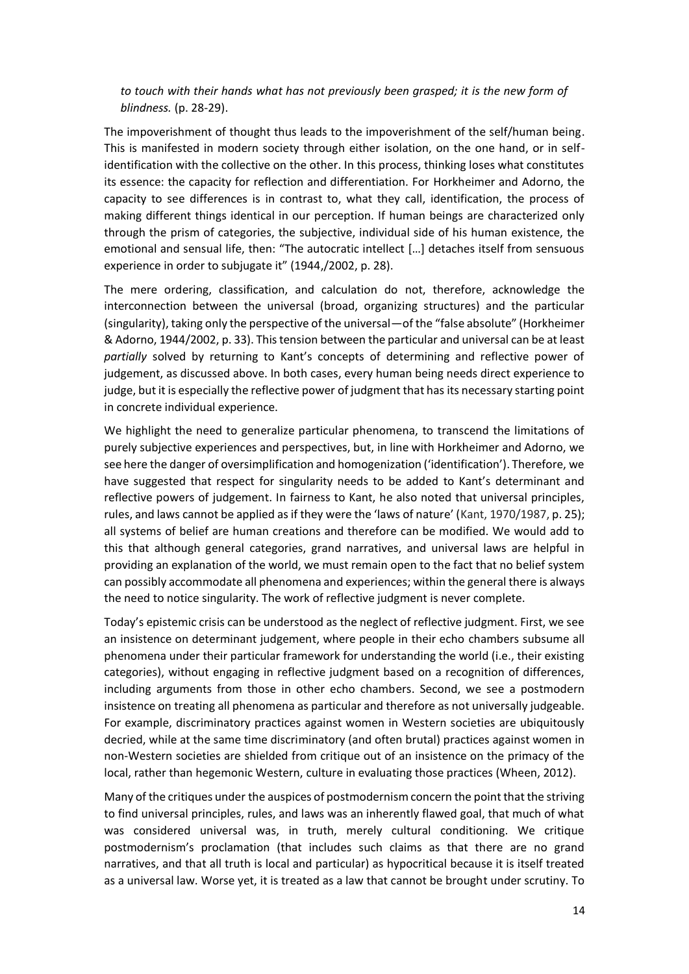*to touch with their hands what has not previously been grasped; it is the new form of blindness.* (p. 28-29).

The impoverishment of thought thus leads to the impoverishment of the self/human being. This is manifested in modern society through either isolation, on the one hand, or in selfidentification with the collective on the other. In this process, thinking loses what constitutes its essence: the capacity for reflection and differentiation. For Horkheimer and Adorno, the capacity to see differences is in contrast to, what they call, identification, the process of making different things identical in our perception. If human beings are characterized only through the prism of categories, the subjective, individual side of his human existence, the emotional and sensual life, then: "The autocratic intellect […] detaches itself from sensuous experience in order to subjugate it" (1944,/2002, p. 28).

The mere ordering, classification, and calculation do not, therefore, acknowledge the interconnection between the universal (broad, organizing structures) and the particular (singularity), taking only the perspective of the universal—of the "false absolute" (Horkheimer & Adorno, 1944/2002, p. 33). This tension between the particular and universal can be at least *partially* solved by returning to Kant's concepts of determining and reflective power of judgement, as discussed above. In both cases, every human being needs direct experience to judge, but it is especially the reflective power of judgment that has its necessary starting point in concrete individual experience.

We highlight the need to generalize particular phenomena, to transcend the limitations of purely subjective experiences and perspectives, but, in line with Horkheimer and Adorno, we see here the danger of oversimplification and homogenization ('identification'). Therefore, we have suggested that respect for singularity needs to be added to Kant's determinant and reflective powers of judgement. In fairness to Kant, he also noted that universal principles, rules, and laws cannot be applied as if they were the 'laws of nature' (Kant, 1970/1987, p. 25); all systems of belief are human creations and therefore can be modified. We would add to this that although general categories, grand narratives, and universal laws are helpful in providing an explanation of the world, we must remain open to the fact that no belief system can possibly accommodate all phenomena and experiences; within the general there is always the need to notice singularity. The work of reflective judgment is never complete.

Today's epistemic crisis can be understood as the neglect of reflective judgment. First, we see an insistence on determinant judgement, where people in their echo chambers subsume all phenomena under their particular framework for understanding the world (i.e., their existing categories), without engaging in reflective judgment based on a recognition of differences, including arguments from those in other echo chambers. Second, we see a postmodern insistence on treating all phenomena as particular and therefore as not universally judgeable. For example, discriminatory practices against women in Western societies are ubiquitously decried, while at the same time discriminatory (and often brutal) practices against women in non-Western societies are shielded from critique out of an insistence on the primacy of the local, rather than hegemonic Western, culture in evaluating those practices (Wheen, 2012).

Many of the critiques under the auspices of postmodernism concern the point that the striving to find universal principles, rules, and laws was an inherently flawed goal, that much of what was considered universal was, in truth, merely cultural conditioning. We critique postmodernism's proclamation (that includes such claims as that there are no grand narratives, and that all truth is local and particular) as hypocritical because it is itself treated as a universal law. Worse yet, it is treated as a law that cannot be brought under scrutiny. To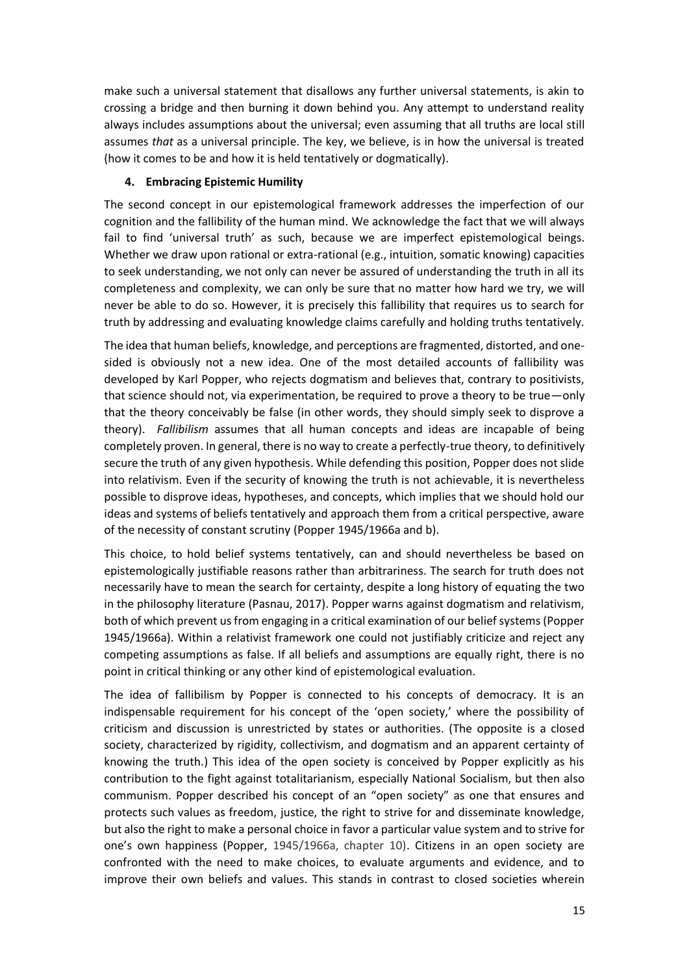make such a universal statement that disallows any further universal statements, is akin to crossing a bridge and then burning it down behind you. Any attempt to understand reality always includes assumptions about the universal; even assuming that all truths are local still assumes *that* as a universal principle. The key, we believe, is in how the universal is treated (how it comes to be and how it is held tentatively or dogmatically).

### **4. Embracing Epistemic Humility**

The second concept in our epistemological framework addresses the imperfection of our cognition and the fallibility of the human mind. We acknowledge the fact that we will always fail to find 'universal truth' as such, because we are imperfect epistemological beings. Whether we draw upon rational or extra-rational (e.g., intuition, somatic knowing) capacities to seek understanding, we not only can never be assured of understanding the truth in all its completeness and complexity, we can only be sure that no matter how hard we try, we will never be able to do so. However, it is precisely this fallibility that requires us to search for truth by addressing and evaluating knowledge claims carefully and holding truths tentatively.

The idea that human beliefs, knowledge, and perceptions are fragmented, distorted, and onesided is obviously not a new idea. One of the most detailed accounts of fallibility was developed by Karl Popper, who rejects dogmatism and believes that, contrary to positivists, that science should not, via experimentation, be required to prove a theory to be true—only that the theory conceivably be false (in other words, they should simply seek to disprove a theory). *Fallibilism* assumes that all human concepts and ideas are incapable of being completely proven. In general, there is no way to create a perfectly-true theory, to definitively secure the truth of any given hypothesis. While defending this position, Popper does not slide into relativism. Even if the security of knowing the truth is not achievable, it is nevertheless possible to disprove ideas, hypotheses, and concepts, which implies that we should hold our ideas and systems of beliefs tentatively and approach them from a critical perspective, aware of the necessity of constant scrutiny (Popper 1945/1966a and b).

This choice, to hold belief systems tentatively, can and should nevertheless be based on epistemologically justifiable reasons rather than arbitrariness. The search for truth does not necessarily have to mean the search for certainty, despite a long history of equating the two in the philosophy literature (Pasnau, 2017). Popper warns against dogmatism and relativism, both of which prevent us from engaging in a critical examination of our belief systems (Popper 1945/1966a). Within a relativist framework one could not justifiably criticize and reject any competing assumptions as false. If all beliefs and assumptions are equally right, there is no point in critical thinking or any other kind of epistemological evaluation.

The idea of fallibilism by Popper is connected to his concepts of democracy. It is an indispensable requirement for his concept of the 'open society,' where the possibility of criticism and discussion is unrestricted by states or authorities. (The opposite is a closed society, characterized by rigidity, collectivism, and dogmatism and an apparent certainty of knowing the truth.) This idea of the open society is conceived by Popper explicitly as his contribution to the fight against totalitarianism, especially National Socialism, but then also communism. Popper described his concept of an "open society" as one that ensures and protects such values as freedom, justice, the right to strive for and disseminate knowledge, but also the right to make a personal choice in favor a particular value system and to strive for one's own happiness (Popper, 1945/1966a, chapter 10). Citizens in an open society are confronted with the need to make choices, to evaluate arguments and evidence, and to improve their own beliefs and values. This stands in contrast to closed societies wherein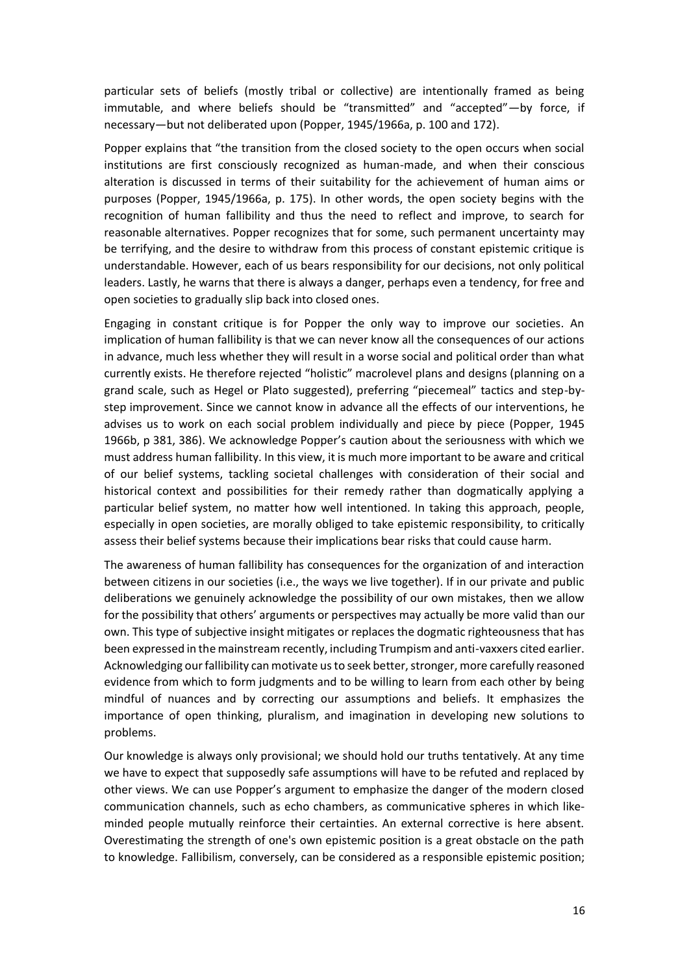particular sets of beliefs (mostly tribal or collective) are intentionally framed as being immutable, and where beliefs should be "transmitted" and "accepted"—by force, if necessary—but not deliberated upon (Popper, 1945/1966a, p. 100 and 172).

Popper explains that "the transition from the closed society to the open occurs when social institutions are first consciously recognized as human-made, and when their conscious alteration is discussed in terms of their suitability for the achievement of human aims or purposes (Popper, 1945/1966a, p. 175). In other words, the open society begins with the recognition of human fallibility and thus the need to reflect and improve, to search for reasonable alternatives. Popper recognizes that for some, such permanent uncertainty may be terrifying, and the desire to withdraw from this process of constant epistemic critique is understandable. However, each of us bears responsibility for our decisions, not only political leaders. Lastly, he warns that there is always a danger, perhaps even a tendency, for free and open societies to gradually slip back into closed ones.

Engaging in constant critique is for Popper the only way to improve our societies. An implication of human fallibility is that we can never know all the consequences of our actions in advance, much less whether they will result in a worse social and political order than what currently exists. He therefore rejected "holistic" macrolevel plans and designs (planning on a grand scale, such as Hegel or Plato suggested), preferring "piecemeal" tactics and step-bystep improvement. Since we cannot know in advance all the effects of our interventions, he advises us to work on each social problem individually and piece by piece (Popper, 1945 1966b, p 381, 386). We acknowledge Popper's caution about the seriousness with which we must address human fallibility. In this view, it is much more important to be aware and critical of our belief systems, tackling societal challenges with consideration of their social and historical context and possibilities for their remedy rather than dogmatically applying a particular belief system, no matter how well intentioned. In taking this approach, people, especially in open societies, are morally obliged to take epistemic responsibility, to critically assess their belief systems because their implications bear risks that could cause harm.

The awareness of human fallibility has consequences for the organization of and interaction between citizens in our societies (i.e., the ways we live together). If in our private and public deliberations we genuinely acknowledge the possibility of our own mistakes, then we allow for the possibility that others' arguments or perspectives may actually be more valid than our own. This type of subjective insight mitigates or replaces the dogmatic righteousness that has been expressed in the mainstream recently, including Trumpism and anti-vaxxers cited earlier. Acknowledging our fallibility can motivate us to seek better, stronger, more carefully reasoned evidence from which to form judgments and to be willing to learn from each other by being mindful of nuances and by correcting our assumptions and beliefs. It emphasizes the importance of open thinking, pluralism, and imagination in developing new solutions to problems.

Our knowledge is always only provisional; we should hold our truths tentatively. At any time we have to expect that supposedly safe assumptions will have to be refuted and replaced by other views. We can use Popper's argument to emphasize the danger of the modern closed communication channels, such as echo chambers, as communicative spheres in which likeminded people mutually reinforce their certainties. An external corrective is here absent. Overestimating the strength of one's own epistemic position is a great obstacle on the path to knowledge. Fallibilism, conversely, can be considered as a responsible epistemic position;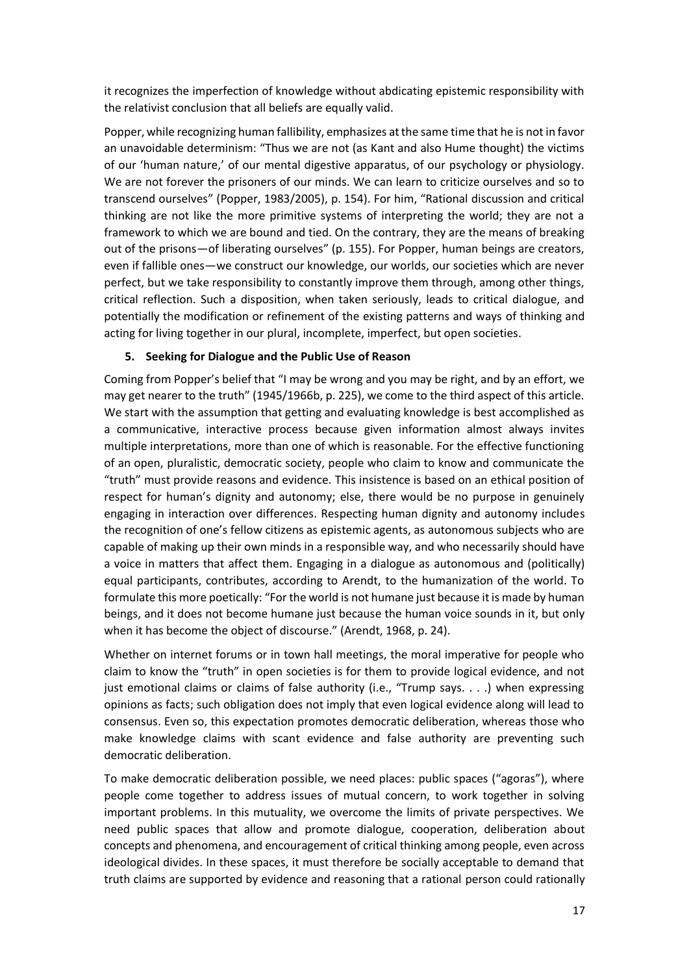it recognizes the imperfection of knowledge without abdicating epistemic responsibility with the relativist conclusion that all beliefs are equally valid.

Popper, while recognizing human fallibility, emphasizes at the same time that he is not in favor an unavoidable determinism: "Thus we are not (as Kant and also Hume thought) the victims of our 'human nature,' of our mental digestive apparatus, of our psychology or physiology. We are not forever the prisoners of our minds. We can learn to criticize ourselves and so to transcend ourselves" (Popper, 1983/2005), p. 154). For him, "Rational discussion and critical thinking are not like the more primitive systems of interpreting the world; they are not a framework to which we are bound and tied. On the contrary, they are the means of breaking out of the prisons—of liberating ourselves" (p. 155). For Popper, human beings are creators, even if fallible ones—we construct our knowledge, our worlds, our societies which are never perfect, but we take responsibility to constantly improve them through, among other things, critical reflection. Such a disposition, when taken seriously, leads to critical dialogue, and potentially the modification or refinement of the existing patterns and ways of thinking and acting for living together in our plural, incomplete, imperfect, but open societies.

## **5. Seeking for Dialogue and the Public Use of Reason**

Coming from Popper's belief that "I may be wrong and you may be right, and by an effort, we may get nearer to the truth" (1945/1966b, p. 225), we come to the third aspect of this article. We start with the assumption that getting and evaluating knowledge is best accomplished as a communicative, interactive process because given information almost always invites multiple interpretations, more than one of which is reasonable. For the effective functioning of an open, pluralistic, democratic society, people who claim to know and communicate the "truth" must provide reasons and evidence. This insistence is based on an ethical position of respect for human's dignity and autonomy; else, there would be no purpose in genuinely engaging in interaction over differences. Respecting human dignity and autonomy includes the recognition of one's fellow citizens as epistemic agents, as autonomous subjects who are capable of making up their own minds in a responsible way, and who necessarily should have a voice in matters that affect them. Engaging in a dialogue as autonomous and (politically) equal participants, contributes, according to Arendt, to the humanization of the world. To formulate this more poetically: "For the world is not humane just because it is made by human beings, and it does not become humane just because the human voice sounds in it, but only when it has become the object of discourse." (Arendt, 1968, p. 24).

Whether on internet forums or in town hall meetings, the moral imperative for people who claim to know the "truth" in open societies is for them to provide logical evidence, and not just emotional claims or claims of false authority (i.e., "Trump says. . . .) when expressing opinions as facts; such obligation does not imply that even logical evidence along will lead to consensus. Even so, this expectation promotes democratic deliberation, whereas those who make knowledge claims with scant evidence and false authority are preventing such democratic deliberation.

To make democratic deliberation possible, we need places: public spaces ("agoras"), where people come together to address issues of mutual concern, to work together in solving important problems. In this mutuality, we overcome the limits of private perspectives. We need public spaces that allow and promote dialogue, cooperation, deliberation about concepts and phenomena, and encouragement of critical thinking among people, even across ideological divides. In these spaces, it must therefore be socially acceptable to demand that truth claims are supported by evidence and reasoning that a rational person could rationally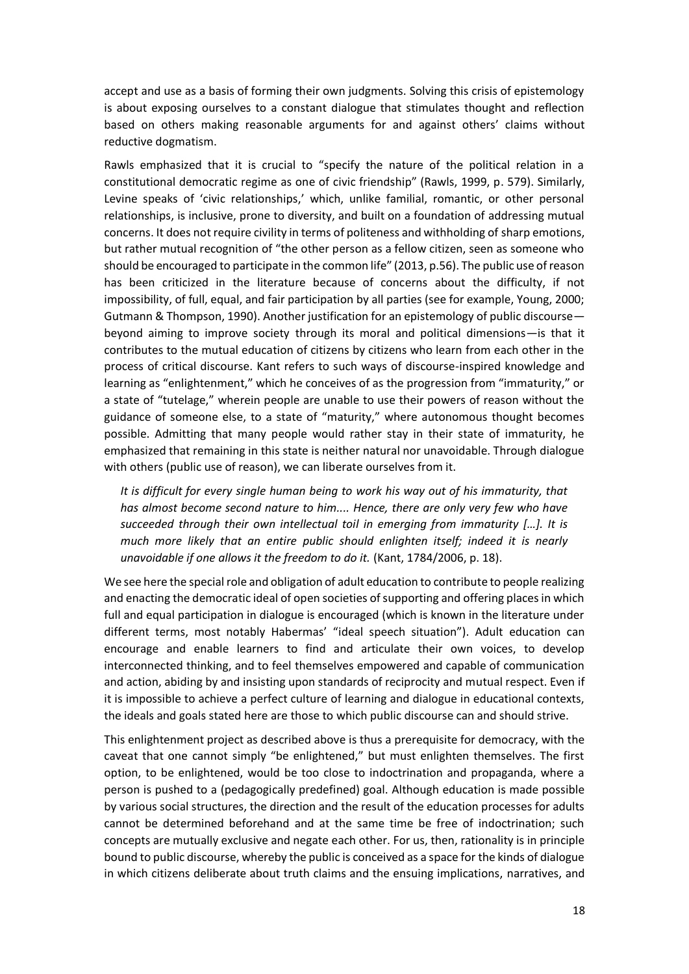accept and use as a basis of forming their own judgments. Solving this crisis of epistemology is about exposing ourselves to a constant dialogue that stimulates thought and reflection based on others making reasonable arguments for and against others' claims without reductive dogmatism.

Rawls emphasized that it is crucial to "specify the nature of the political relation in a constitutional democratic regime as one of civic friendship" (Rawls, 1999, p. 579). Similarly, Levine speaks of 'civic relationships,' which, unlike familial, romantic, or other personal relationships, is inclusive, prone to diversity, and built on a foundation of addressing mutual concerns. It does not require civility in terms of politeness and withholding of sharp emotions, but rather mutual recognition of "the other person as a fellow citizen, seen as someone who should be encouraged to participate in the common life" (2013, p.56). The public use of reason has been criticized in the literature because of concerns about the difficulty, if not impossibility, of full, equal, and fair participation by all parties (see for example, Young, 2000; Gutmann & Thompson, 1990). Another justification for an epistemology of public discourse beyond aiming to improve society through its moral and political dimensions—is that it contributes to the mutual education of citizens by citizens who learn from each other in the process of critical discourse. Kant refers to such ways of discourse-inspired knowledge and learning as "enlightenment," which he conceives of as the progression from "immaturity," or a state of "tutelage," wherein people are unable to use their powers of reason without the guidance of someone else, to a state of "maturity," where autonomous thought becomes possible. Admitting that many people would rather stay in their state of immaturity, he emphasized that remaining in this state is neither natural nor unavoidable. Through dialogue with others (public use of reason), we can liberate ourselves from it.

*It is difficult for every single human being to work his way out of his immaturity, that has almost become second nature to him.... Hence, there are only very few who have succeeded through their own intellectual toil in emerging from immaturity […]. It is much more likely that an entire public should enlighten itself; indeed it is nearly unavoidable if one allows it the freedom to do it.* (Kant, 1784/2006, p. 18).

We see here the special role and obligation of adult education to contribute to people realizing and enacting the democratic ideal of open societies of supporting and offering places in which full and equal participation in dialogue is encouraged (which is known in the literature under different terms, most notably Habermas' "ideal speech situation"). Adult education can encourage and enable learners to find and articulate their own voices, to develop interconnected thinking, and to feel themselves empowered and capable of communication and action, abiding by and insisting upon standards of reciprocity and mutual respect. Even if it is impossible to achieve a perfect culture of learning and dialogue in educational contexts, the ideals and goals stated here are those to which public discourse can and should strive.

This enlightenment project as described above is thus a prerequisite for democracy, with the caveat that one cannot simply "be enlightened," but must enlighten themselves. The first option, to be enlightened, would be too close to indoctrination and propaganda, where a person is pushed to a (pedagogically predefined) goal. Although education is made possible by various social structures, the direction and the result of the education processes for adults cannot be determined beforehand and at the same time be free of indoctrination; such concepts are mutually exclusive and negate each other. For us, then, rationality is in principle bound to public discourse, whereby the public is conceived as a space for the kinds of dialogue in which citizens deliberate about truth claims and the ensuing implications, narratives, and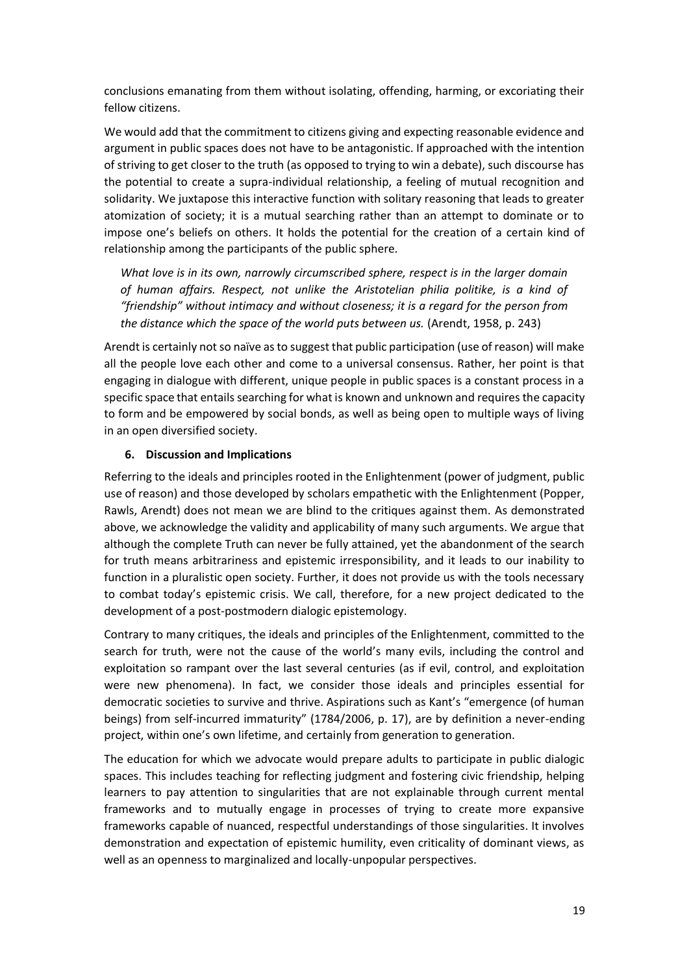conclusions emanating from them without isolating, offending, harming, or excoriating their fellow citizens.

We would add that the commitment to citizens giving and expecting reasonable evidence and argument in public spaces does not have to be antagonistic. If approached with the intention of striving to get closer to the truth (as opposed to trying to win a debate), such discourse has the potential to create a supra-individual relationship, a feeling of mutual recognition and solidarity. We juxtapose this interactive function with solitary reasoning that leads to greater atomization of society; it is a mutual searching rather than an attempt to dominate or to impose one's beliefs on others. It holds the potential for the creation of a certain kind of relationship among the participants of the public sphere.

*What love is in its own, narrowly circumscribed sphere, respect is in the larger domain of human affairs. Respect, not unlike the Aristotelian philia politike, is a kind of "friendship" without intimacy and without closeness; it is a regard for the person from the distance which the space of the world puts between us.* (Arendt, 1958, p. 243)

Arendt is certainly not so naïve as to suggest that public participation (use of reason) will make all the people love each other and come to a universal consensus. Rather, her point is that engaging in dialogue with different, unique people in public spaces is a constant process in a specific space that entails searching for what is known and unknown and requires the capacity to form and be empowered by social bonds, as well as being open to multiple ways of living in an open diversified society.

### **6. Discussion and Implications**

Referring to the ideals and principles rooted in the Enlightenment (power of judgment, public use of reason) and those developed by scholars empathetic with the Enlightenment (Popper, Rawls, Arendt) does not mean we are blind to the critiques against them. As demonstrated above, we acknowledge the validity and applicability of many such arguments. We argue that although the complete Truth can never be fully attained, yet the abandonment of the search for truth means arbitrariness and epistemic irresponsibility, and it leads to our inability to function in a pluralistic open society. Further, it does not provide us with the tools necessary to combat today's epistemic crisis. We call, therefore, for a new project dedicated to the development of a post-postmodern dialogic epistemology.

Contrary to many critiques, the ideals and principles of the Enlightenment, committed to the search for truth, were not the cause of the world's many evils, including the control and exploitation so rampant over the last several centuries (as if evil, control, and exploitation were new phenomena). In fact, we consider those ideals and principles essential for democratic societies to survive and thrive. Aspirations such as Kant's "emergence (of human beings) from self-incurred immaturity" (1784/2006, p. 17), are by definition a never-ending project, within one's own lifetime, and certainly from generation to generation.

The education for which we advocate would prepare adults to participate in public dialogic spaces. This includes teaching for reflecting judgment and fostering civic friendship, helping learners to pay attention to singularities that are not explainable through current mental frameworks and to mutually engage in processes of trying to create more expansive frameworks capable of nuanced, respectful understandings of those singularities. It involves demonstration and expectation of epistemic humility, even criticality of dominant views, as well as an openness to marginalized and locally-unpopular perspectives.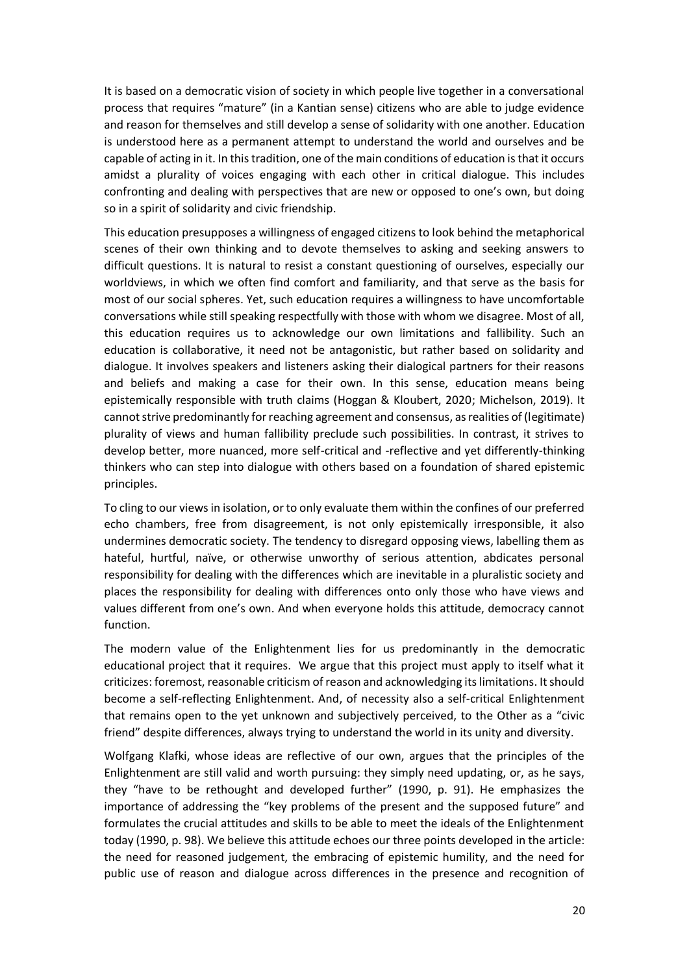It is based on a democratic vision of society in which people live together in a conversational process that requires "mature" (in a Kantian sense) citizens who are able to judge evidence and reason for themselves and still develop a sense of solidarity with one another. Education is understood here as a permanent attempt to understand the world and ourselves and be capable of acting in it. In this tradition, one of the main conditions of education is that it occurs amidst a plurality of voices engaging with each other in critical dialogue. This includes confronting and dealing with perspectives that are new or opposed to one's own, but doing so in a spirit of solidarity and civic friendship.

This education presupposes a willingness of engaged citizens to look behind the metaphorical scenes of their own thinking and to devote themselves to asking and seeking answers to difficult questions. It is natural to resist a constant questioning of ourselves, especially our worldviews, in which we often find comfort and familiarity, and that serve as the basis for most of our social spheres. Yet, such education requires a willingness to have uncomfortable conversations while still speaking respectfully with those with whom we disagree. Most of all, this education requires us to acknowledge our own limitations and fallibility. Such an education is collaborative, it need not be antagonistic, but rather based on solidarity and dialogue. It involves speakers and listeners asking their dialogical partners for their reasons and beliefs and making a case for their own. In this sense, education means being epistemically responsible with truth claims (Hoggan & Kloubert, 2020; Michelson, 2019). It cannot strive predominantly for reaching agreement and consensus, as realities of (legitimate) plurality of views and human fallibility preclude such possibilities. In contrast, it strives to develop better, more nuanced, more self-critical and -reflective and yet differently-thinking thinkers who can step into dialogue with others based on a foundation of shared epistemic principles.

To cling to our views in isolation, or to only evaluate them within the confines of our preferred echo chambers, free from disagreement, is not only epistemically irresponsible, it also undermines democratic society. The tendency to disregard opposing views, labelling them as hateful, hurtful, naïve, or otherwise unworthy of serious attention, abdicates personal responsibility for dealing with the differences which are inevitable in a pluralistic society and places the responsibility for dealing with differences onto only those who have views and values different from one's own. And when everyone holds this attitude, democracy cannot function.

The modern value of the Enlightenment lies for us predominantly in the democratic educational project that it requires. We argue that this project must apply to itself what it criticizes: foremost, reasonable criticism of reason and acknowledging its limitations. It should become a self-reflecting Enlightenment. And, of necessity also a self-critical Enlightenment that remains open to the yet unknown and subjectively perceived, to the Other as a "civic friend" despite differences, always trying to understand the world in its unity and diversity.

Wolfgang Klafki, whose ideas are reflective of our own, argues that the principles of the Enlightenment are still valid and worth pursuing: they simply need updating, or, as he says, they "have to be rethought and developed further" (1990, p. 91). He emphasizes the importance of addressing the "key problems of the present and the supposed future" and formulates the crucial attitudes and skills to be able to meet the ideals of the Enlightenment today (1990, p. 98). We believe this attitude echoes our three points developed in the article: the need for reasoned judgement, the embracing of epistemic humility, and the need for public use of reason and dialogue across differences in the presence and recognition of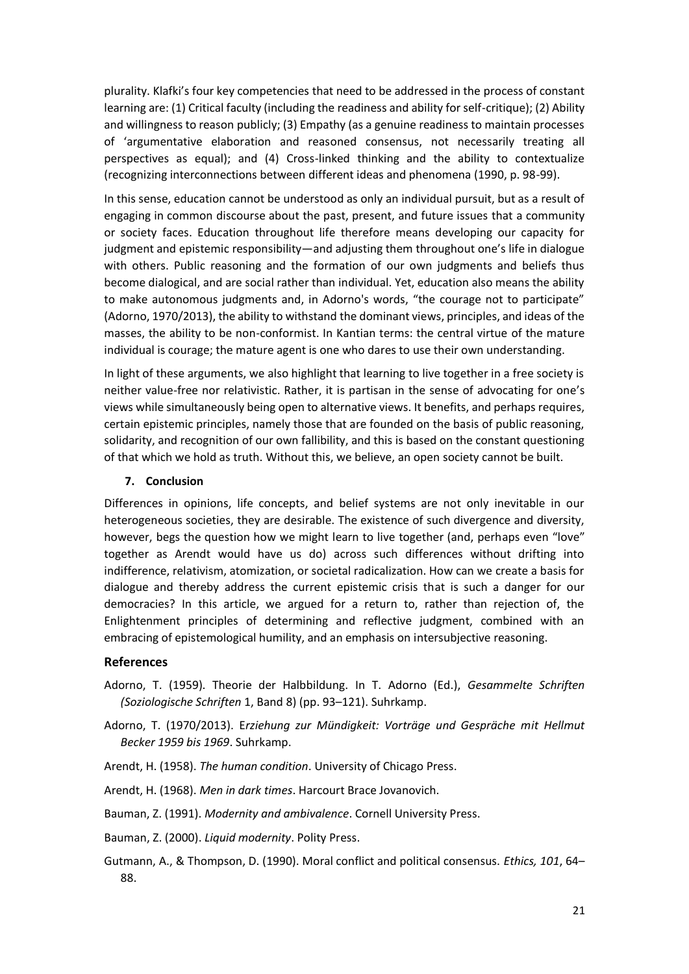plurality. Klafki's four key competencies that need to be addressed in the process of constant learning are: (1) Critical faculty (including the readiness and ability for self-critique); (2) Ability and willingness to reason publicly; (3) Empathy (as a genuine readiness to maintain processes of 'argumentative elaboration and reasoned consensus, not necessarily treating all perspectives as equal); and (4) Cross-linked thinking and the ability to contextualize (recognizing interconnections between different ideas and phenomena (1990, p. 98-99).

In this sense, education cannot be understood as only an individual pursuit, but as a result of engaging in common discourse about the past, present, and future issues that a community or society faces. Education throughout life therefore means developing our capacity for judgment and epistemic responsibility—and adjusting them throughout one's life in dialogue with others. Public reasoning and the formation of our own judgments and beliefs thus become dialogical, and are social rather than individual. Yet, education also means the ability to make autonomous judgments and, in Adorno's words, "the courage not to participate" (Adorno, 1970/2013), the ability to withstand the dominant views, principles, and ideas of the masses, the ability to be non-conformist. In Kantian terms: the central virtue of the mature individual is courage; the mature agent is one who dares to use their own understanding.

In light of these arguments, we also highlight that learning to live together in a free society is neither value-free nor relativistic. Rather, it is partisan in the sense of advocating for one's views while simultaneously being open to alternative views. It benefits, and perhaps requires, certain epistemic principles, namely those that are founded on the basis of public reasoning, solidarity, and recognition of our own fallibility, and this is based on the constant questioning of that which we hold as truth. Without this, we believe, an open society cannot be built.

#### **7. Conclusion**

Differences in opinions, life concepts, and belief systems are not only inevitable in our heterogeneous societies, they are desirable. The existence of such divergence and diversity, however, begs the question how we might learn to live together (and, perhaps even "love" together as Arendt would have us do) across such differences without drifting into indifference, relativism, atomization, or societal radicalization. How can we create a basis for dialogue and thereby address the current epistemic crisis that is such a danger for our democracies? In this article, we argued for a return to, rather than rejection of, the Enlightenment principles of determining and reflective judgment, combined with an embracing of epistemological humility, and an emphasis on intersubjective reasoning.

#### **References**

- Adorno, T. (1959). Theorie der Halbbildung. In T. Adorno (Ed.), *Gesammelte Schriften (Soziologische Schriften* 1, Band 8) (pp. 93–121). Suhrkamp.
- Adorno, T. (1970/2013). E*rziehung zur Mündigkeit: Vorträge und Gespräche mit Hellmut Becker 1959 bis 1969*. Suhrkamp.
- Arendt, H. (1958). *The human condition*. University of Chicago Press.
- Arendt, H. (1968). *Men in dark times*. Harcourt Brace Jovanovich.
- Bauman, Z. (1991). *Modernity and ambivalence*. Cornell University Press.
- Bauman, Z. (2000). *Liquid modernity*. Polity Press.
- Gutmann, A., & Thompson, D. (1990). Moral conflict and political consensus. *Ethics, 101*, 64– 88.